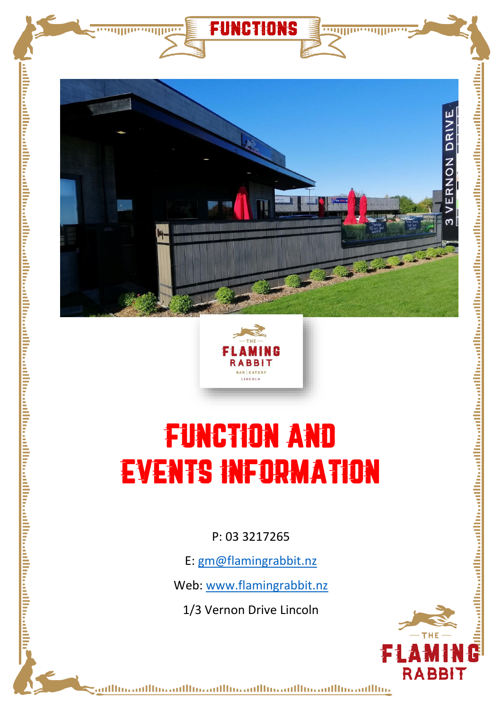

functions

,,,,,,,,,,,,

<u>ramma</u>



# FUNCTION AND EVENTS INFORMATION

P: 03 3217265

E: [gm@flamingrabbit.nz](mailto:gm@flamingrabbit.nz)

Web: [www.flamingrabbit.nz](http://www.flamingrabbit.nz/)

1/3 Vernon Drive Lincoln



وبالاستوالاستوالاستوالاستوالاستوالاستوالاستورا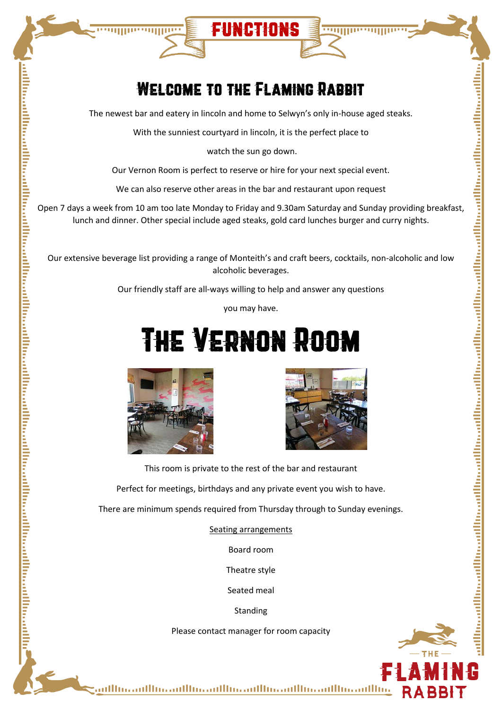## WELCOME TO THE FLAMING RABBIT

functions

**TUILING** 

The newest bar and eatery in lincoln and home to Selwyn's only in-house aged steaks.

With the sunniest courtyard in lincoln, it is the perfect place to

watch the sun go down.

Our Vernon Room is perfect to reserve or hire for your next special event.

We can also reserve other areas in the bar and restaurant upon request

Open 7 days a week from 10 am too late Monday to Friday and 9.30am Saturday and Sunday providing breakfast, lunch and dinner. Other special include aged steaks, gold card lunches burger and curry nights.

Our extensive beverage list providing a range of Monteith's and craft beers, cocktails, non-alcoholic and low alcoholic beverages.

Our friendly staff are all-ways willing to help and answer any questions

you may have.

# The Vernon Room



<u>, http://www.mathematical.com/www.mathematical.com/www.mathematical.com/www.mathematical.com/www.mathematical.com/www.mathematical.com/www.mathematical.com/www.mathematical.com/www.mathematical.com/www.mathematical.com/ww</u>

...........



This room is private to the rest of the bar and restaurant

Perfect for meetings, birthdays and any private event you wish to have.

There are minimum spends required from Thursday through to Sunday evenings.

Seating arrangements

Board room

Theatre style

Seated meal

Standing

Please contact manager for room capacity

dlussadlussadlussadlussadlussadlussadlussadlussadlussadlussadlussadlussadlussadlussadlussadlussadlussadlussadl

وبالاستوبالاستوبالاستوبالاستوبالاستوبالاستوبالاستوبالاستوبالات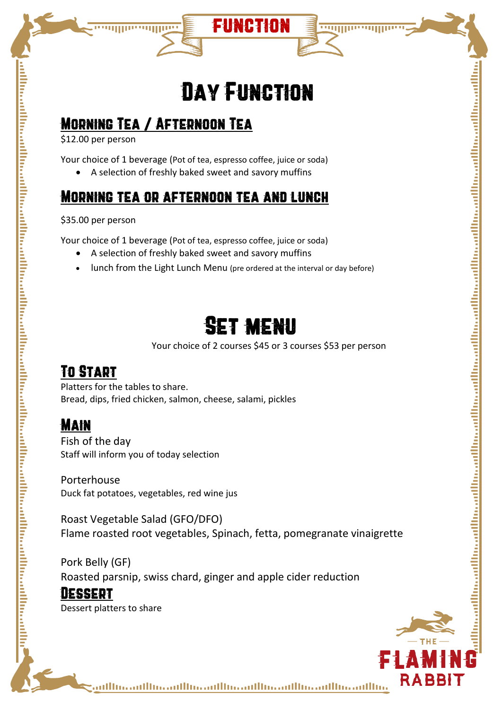## Day Function

function

## Morning Tea / Afternoon Tea

\$12.00 per person

Your choice of 1 beverage (Pot of tea, espresso coffee, juice or soda)

• A selection of freshly baked sweet and savory muffins

## Morning tea or afternoon tea and lunch

\$35.00 per person

Your choice of 1 beverage (Pot of tea, espresso coffee, juice or soda)

- A selection of freshly baked sweet and savory muffins
- lunch from the Light Lunch Menu (pre ordered at the interval or day before)

## Set menu

Your choice of 2 courses \$45 or 3 courses \$53 per person

## To Start

Platters for the tables to share. Bread, dips, fried chicken, salmon, cheese, salami, pickles

## **MAIN**

alitari radioi risalitari radioi risalitari radioi radioi radioi radioi radioi radioi radioi radioi radioi radioi radioi radioi radioi radioi radioi radioi radioi radioi radioi radioi radioi radioi radioi radioi radioi rad

Fish of the day Staff will inform you of today selection

Porterhouse Duck fat potatoes, vegetables, red wine jus

Roast Vegetable Salad (GFO/DFO) Flame roasted root vegetables, Spinach, fetta, pomegranate vinaigrette

Pork Belly (GF) Roasted parsnip, swiss chard, ginger and apple cider reduction

#### Dessert

Dessert platters to share



وبالاستوبالاستوبالاستوبالاستوبالاستوبالاستوبالاستوبالاستوبالات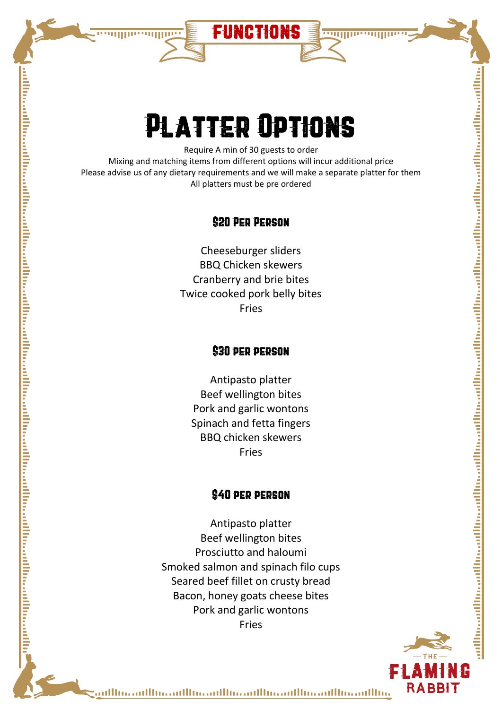

religionalisto de la filma de la filma de la filma de la filma de la filma de la filma de la filma de la filma de la filma de la filma de la filma de la filma de la filma de la filma de la filma de la filma de la filma de

# Platter Options

functions

Require A min of 30 guests to order Mixing and matching items from different options will incur additional price Please advise us of any dietary requirements and we will make a separate platter for them All platters must be pre ordered

#### \$20 Per Person

Cheeseburger sliders BBQ Chicken skewers Cranberry and brie bites Twice cooked pork belly bites Fries

#### \$30 per person

Antipasto platter Beef wellington bites Pork and garlic wontons Spinach and fetta fingers BBQ chicken skewers Fries

#### \$40 per person

Antipasto platter Beef wellington bites Prosciutto and haloumi Smoked salmon and spinach filo cups Seared beef fillet on crusty bread Bacon, honey goats cheese bites Pork and garlic wontons Fries



وبالاستوبالاستوبالاستوبالاستوبالاستوبالاستوبالاستوبالاستوبالات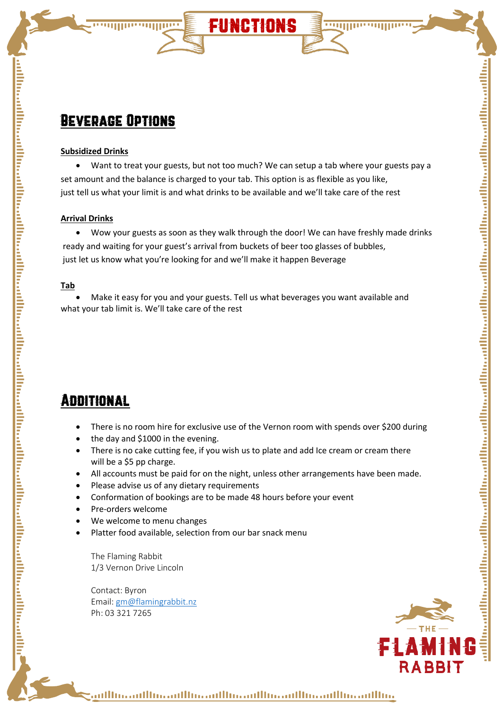### Beverage Options

**THURSDAIN** 

#### **Subsidized Drinks**

• Want to treat your guests, but not too much? We can setup a tab where your guests pay a set amount and the balance is charged to your tab. This option is as flexible as you like, just tell us what your limit is and what drinks to be available and we'll take care of the rest

functions

#### **Arrival Drinks**

• Wow your guests as soon as they walk through the door! We can have freshly made drinks ready and waiting for your guest's arrival from buckets of beer too glasses of bubbles, just let us know what you're looking for and we'll make it happen Beverage

#### **Tab**

• Make it easy for you and your guests. Tell us what beverages you want available and what your tab limit is. We'll take care of the rest

### Additional

- There is no room hire for exclusive use of the Vernon room with spends over \$200 during
- the day and \$1000 in the evening.
- There is no cake cutting fee, if you wish us to plate and add Ice cream or cream there will be a \$5 pp charge.
- All accounts must be paid for on the night, unless other arrangements have been made.
- Please advise us of any dietary requirements
- Conformation of bookings are to be made 48 hours before your event
- Pre-orders welcome
- We welcome to menu changes
- Platter food available, selection from our bar snack menu

The Flaming Rabbit 1/3 Vernon Drive Lincoln

Contact: Byron Email[: gm@flamingrabbit.nz](mailto:gm@flamingrabbit.nz) Ph: 03 321 7265



#### وبالاستوبالاستوبالاستوبالاستوبالاستوبالاستوبالاستوبالاستوبالانة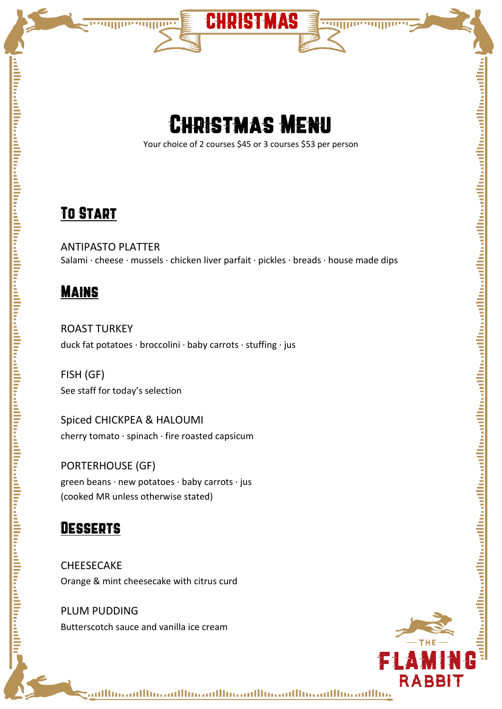



CHRISTMAS

<u>summasininin</u>

Your choice of 2 courses \$45 or 3 courses \$53 per person

## To Start

ANTIPASTO PLATTER Salami · cheese · mussels · chicken liver parfait · pickles · breads · house made dips

## **MAINS**

ROAST TURKEY duck fat potatoes · broccolini · baby carrots · stuffing · jus

FISH (GF) See staff for today's selection

Spiced CHICKPEA & HALOUMI cherry tomato · spinach · fire roasted capsicum

PORTERHOUSE (GF) green beans · new potatoes · baby carrots · jus (cooked MR unless otherwise stated)

### Desserts

**CHEESECAKE** Orange & mint cheesecake with citrus curd

PLUM PUDDING Butterscotch sauce and vanilla ice cream



وبالانتصالانة وبالاستعمالان ووالاستوبالانة وبالانتصالان وماللاته